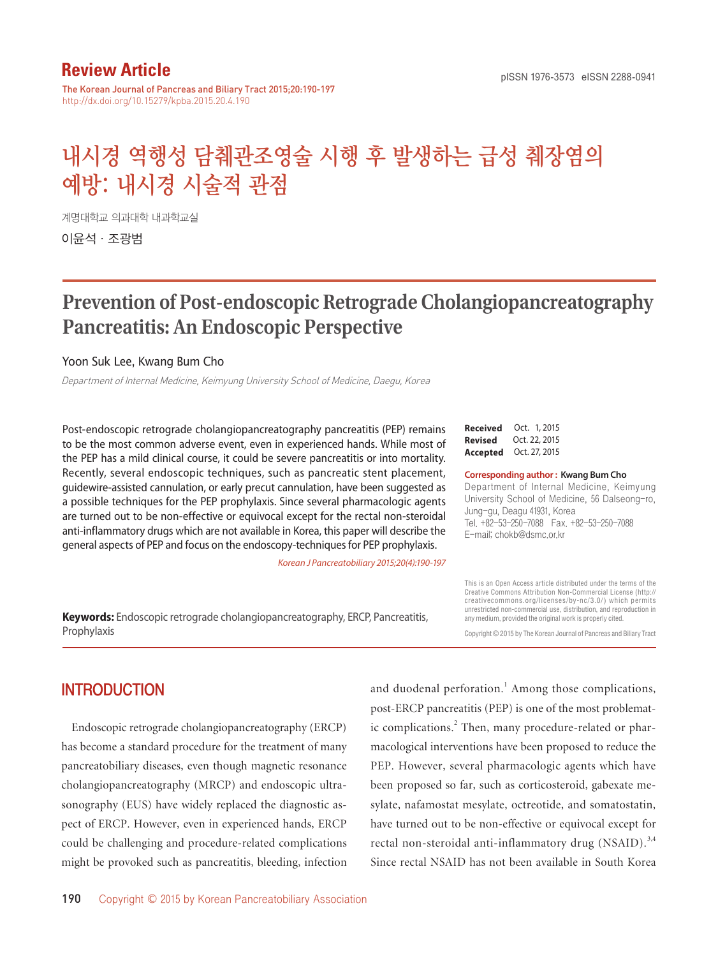## **Review Article**

The Korean Journal of Pancreas and Biliary Tract 2015;20:190-197 http://dx.doi.org/10.15279/kpba.2015.20.4.190

# 내시경 역행성 담췌관조영술 시행 후 발생하는 급성 췌장염의 예방: 내시경 시술적 관점

계명대학교 의과대학 내과학교실

이윤석·조광범

## **Prevention of Post-endoscopic Retrograde Cholangiopancreatography Pancreatitis: An Endoscopic Perspective**

#### Yoon Suk Lee, Kwang Bum Cho

Department of Internal Medicine, Keimyung University School of Medicine, Daegu, Korea

Post-endoscopic retrograde cholangiopancreatography pancreatitis (PEP) remains to be the most common adverse event, even in experienced hands. While most of the PEP has a mild clinical course, it could be severe pancreatitis or into mortality. Recently, several endoscopic techniques, such as pancreatic stent placement, guidewire-assisted cannulation, or early precut cannulation, have been suggested as a possible techniques for the PEP prophylaxis. Since several pharmacologic agents are turned out to be non-effective or equivocal except for the rectal non-steroidal anti-inflammatory drugs which are not available in Korea, this paper will describe the general aspects of PEP and focus on the endoscopy-techniques for PEP prophylaxis.

*Korean J Pancreatobiliary 2015;20(4):190-197*

**Keywords:** Endoscopic retrograde cholangiopancreatography, ERCP, Pancreatitis, Prophylaxis

**Received** Oct. 1, 2015 **Revised** Oct. 22, 2015 **Accepted** Oct. 27, 2015

#### **Corresponding author : Kwang Bum Cho**

Department of Internal Medicine, Keimyung University School of Medicine, 56 Dalseong-ro, Jung-gu, Deagu 41931, Korea Tel. +82-53-250-7088 Fax. +82-53-250-7088 E-mail; chokb@dsmc.or.kr

This is an Open Access article distributed under the terms of the Creative Commons Attribution Non-Commercial License (http:// creativecommons.org/licenses/by-nc/3.0/) which permits unrestricted non-commercial use, distribution, and reproduction in any medium, provided the original work is properly cited.

Copyright © 2015 by The Korean Journal of Pancreas and Biliary Tract

### **INTRODUCTION**

Endoscopic retrograde cholangiopancreatography (ERCP) has become a standard procedure for the treatment of many pancreatobiliary diseases, even though magnetic resonance cholangiopancreatography (MRCP) and endoscopic ultrasonography (EUS) have widely replaced the diagnostic aspect of ERCP. However, even in experienced hands, ERCP could be challenging and procedure-related complications might be provoked such as pancreatitis, bleeding, infection

190 Copyright © 2015 by Korean Pancreatobiliary Association

and duodenal perforation.<sup>1</sup> Among those complications, post-ERCP pancreatitis (PEP) is one of the most problematic complications.<sup>2</sup> Then, many procedure-related or pharmacological interventions have been proposed to reduce the PEP. However, several pharmacologic agents which have been proposed so far, such as corticosteroid, gabexate mesylate, nafamostat mesylate, octreotide, and somatostatin, have turned out to be non-effective or equivocal except for rectal non-steroidal anti-inflammatory drug  $(NSAID)^{3,4}$ Since rectal NSAID has not been available in South Korea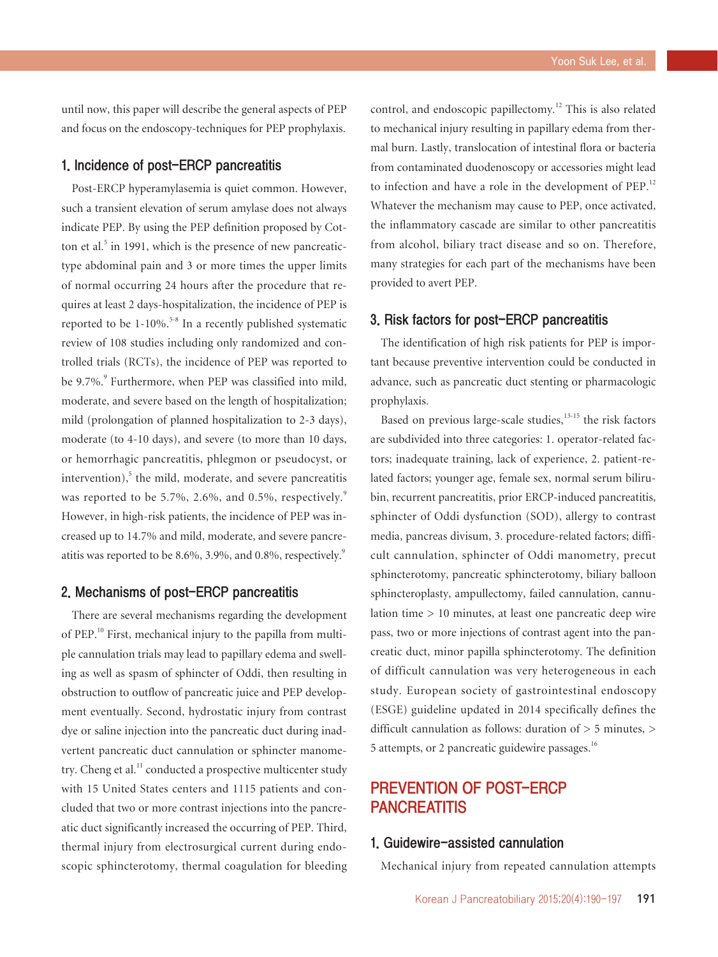until now, this paper will describe the general aspects of PEP and focus on the endoscopy-techniques for PEP prophylaxis.

#### 1. Incidence of post-ERCP pancreatitis

Post-ERCP hyperamylasemia is quiet common. However, such a transient elevation of serum amylase does not always indicate PEP. By using the PEP definition proposed by Cotton et al.<sup>5</sup> in 1991, which is the presence of new pancreatictype abdominal pain and 3 or more times the upper limits of normal occurring 24 hours after the procedure that requires at least 2 days-hospitalization, the incidence of PEP is reported to be  $1-10\%$ <sup>5-8</sup> In a recently published systematic review of 108 studies including only randomized and controlled trials (RCTs), the incidence of PEP was reported to be 9.7%.<sup>9</sup> Furthermore, when PEP was classified into mild, moderate, and severe based on the length of hospitalization; mild (prolongation of planned hospitalization to 2-3 days), moderate (to 4-10 days), and severe (to more than 10 days, or hemorrhagic pancreatitis, phlegmon or pseudocyst, or  $intervention)$ , the mild, moderate, and severe pancreatitis was reported to be 5.7%, 2.6%, and 0.5%, respectively. $9$ However, in high-risk patients, the incidence of PEP was increased up to 14.7% and mild, moderate, and severe pancreatitis was reported to be 8.6%, 3.9%, and 0.8%, respectively.<sup>9</sup>

#### 2. Mechanisms of post-ERCP pancreatitis

There are several mechanisms regarding the development of PEP.10 First, mechanical injury to the papilla from multiple cannulation trials may lead to papillary edema and swelling as well as spasm of sphincter of Oddi, then resulting in obstruction to outflow of pancreatic juice and PEP development eventually. Second, hydrostatic injury from contrast dye or saline injection into the pancreatic duct during inadvertent pancreatic duct cannulation or sphincter manometry. Cheng et al. $<sup>11</sup>$  conducted a prospective multicenter study</sup> with 15 United States centers and 1115 patients and concluded that two or more contrast injections into the pancreatic duct significantly increased the occurring of PEP. Third, thermal injury from electrosurgical current during endoscopic sphincterotomy, thermal coagulation for bleeding control, and endoscopic papillectomy.12 This is also related to mechanical injury resulting in papillary edema from thermal burn. Lastly, translocation of intestinal flora or bacteria from contaminated duodenoscopy or accessories might lead to infection and have a role in the development of PEP.<sup>12</sup> Whatever the mechanism may cause to PEP, once activated, the inflammatory cascade are similar to other pancreatitis from alcohol, biliary tract disease and so on. Therefore, many strategies for each part of the mechanisms have been provided to avert PEP.

#### 3. Risk factors for post-ERCP pancreatitis

The identification of high risk patients for PEP is important because preventive intervention could be conducted in advance, such as pancreatic duct stenting or pharmacologic prophylaxis.

Based on previous large-scale studies, $13-15$  the risk factors are subdivided into three categories: 1. operator-related factors; inadequate training, lack of experience, 2. patient-related factors; younger age, female sex, normal serum bilirubin, recurrent pancreatitis, prior ERCP-induced pancreatitis, sphincter of Oddi dysfunction (SOD), allergy to contrast media, pancreas divisum, 3. procedure-related factors; difficult cannulation, sphincter of Oddi manometry, precut sphincterotomy, pancreatic sphincterotomy, biliary balloon sphincteroplasty, ampullectomy, failed cannulation, cannulation time > 10 minutes, at least one pancreatic deep wire pass, two or more injections of contrast agent into the pancreatic duct, minor papilla sphincterotomy. The definition of difficult cannulation was very heterogeneous in each study. European society of gastrointestinal endoscopy (ESGE) guideline updated in 2014 specifically defines the difficult cannulation as follows: duration of > 5 minutes, > 5 attempts, or 2 pancreatic guidewire passages.<sup>16</sup>

## PREVENTION OF POST-ERCP **PANCREATITIS**

#### 1. Guidewire-assisted cannulation

Mechanical injury from repeated cannulation attempts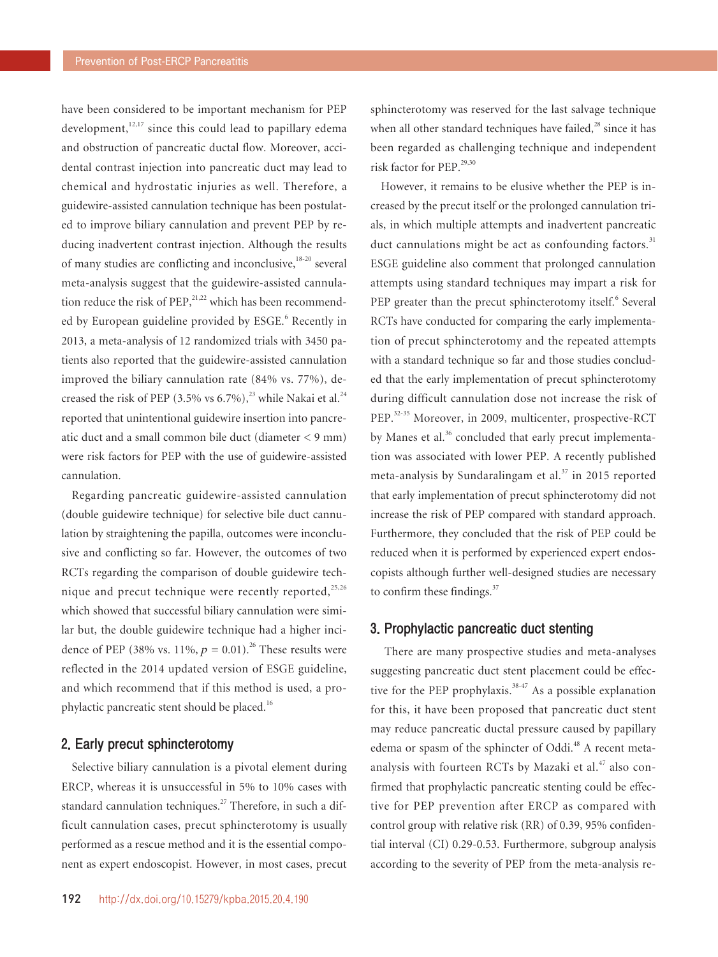have been considered to be important mechanism for PEP development, $12,17$  since this could lead to papillary edema and obstruction of pancreatic ductal flow. Moreover, accidental contrast injection into pancreatic duct may lead to chemical and hydrostatic injuries as well. Therefore, a guidewire-assisted cannulation technique has been postulated to improve biliary cannulation and prevent PEP by reducing inadvertent contrast injection. Although the results of many studies are conflicting and inconclusive,  $18-20$  several meta-analysis suggest that the guidewire-assisted cannulation reduce the risk of  $PEP<sub>1</sub><sup>21,22</sup>$  which has been recommended by European guideline provided by ESGE.<sup>6</sup> Recently in 2013, a meta-analysis of 12 randomized trials with 3450 patients also reported that the guidewire-assisted cannulation improved the biliary cannulation rate (84% vs. 77%), decreased the risk of PEP (3.5% vs 6.7%),<sup>23</sup> while Nakai et al.<sup>24</sup> reported that unintentional guidewire insertion into pancreatic duct and a small common bile duct (diameter < 9 mm) were risk factors for PEP with the use of guidewire-assisted cannulation.

Regarding pancreatic guidewire-assisted cannulation (double guidewire technique) for selective bile duct cannulation by straightening the papilla, outcomes were inconclusive and conflicting so far. However, the outcomes of two RCTs regarding the comparison of double guidewire technique and precut technique were recently reported, $25,26$ which showed that successful biliary cannulation were similar but, the double guidewire technique had a higher incidence of PEP (38% vs. 11%,  $p = 0.01$ ).<sup>26</sup> These results were reflected in the 2014 updated version of ESGE guideline, and which recommend that if this method is used, a prophylactic pancreatic stent should be placed.<sup>16</sup>

#### 2. Early precut sphincterotomy

Selective biliary cannulation is a pivotal element during ERCP, whereas it is unsuccessful in 5% to 10% cases with standard cannulation techniques.<sup>27</sup> Therefore, in such a difficult cannulation cases, precut sphincterotomy is usually performed as a rescue method and it is the essential component as expert endoscopist. However, in most cases, precut

sphincterotomy was reserved for the last salvage technique when all other standard techniques have failed, $^{28}$  since it has been regarded as challenging technique and independent risk factor for PEP.29,30

However, it remains to be elusive whether the PEP is increased by the precut itself or the prolonged cannulation trials, in which multiple attempts and inadvertent pancreatic duct cannulations might be act as confounding factors. $31$ ESGE guideline also comment that prolonged cannulation attempts using standard techniques may impart a risk for PEP greater than the precut sphincterotomy itself.<sup>6</sup> Several RCTs have conducted for comparing the early implementation of precut sphincterotomy and the repeated attempts with a standard technique so far and those studies concluded that the early implementation of precut sphincterotomy during difficult cannulation dose not increase the risk of PEP.32-35 Moreover, in 2009, multicenter, prospective-RCT by Manes et al.<sup>36</sup> concluded that early precut implementation was associated with lower PEP. A recently published meta-analysis by Sundaralingam et al. $37$  in 2015 reported that early implementation of precut sphincterotomy did not increase the risk of PEP compared with standard approach. Furthermore, they concluded that the risk of PEP could be reduced when it is performed by experienced expert endoscopists although further well-designed studies are necessary to confirm these findings.<sup>37</sup>

#### 3. Prophylactic pancreatic duct stenting

 There are many prospective studies and meta-analyses suggesting pancreatic duct stent placement could be effective for the PEP prophylaxis.<sup>38-47</sup> As a possible explanation for this, it have been proposed that pancreatic duct stent may reduce pancreatic ductal pressure caused by papillary edema or spasm of the sphincter of Oddi.<sup>48</sup> A recent metaanalysis with fourteen RCTs by Mazaki et al.<sup>47</sup> also confirmed that prophylactic pancreatic stenting could be effective for PEP prevention after ERCP as compared with control group with relative risk (RR) of 0.39, 95% confidential interval (CI) 0.29-0.53. Furthermore, subgroup analysis according to the severity of PEP from the meta-analysis re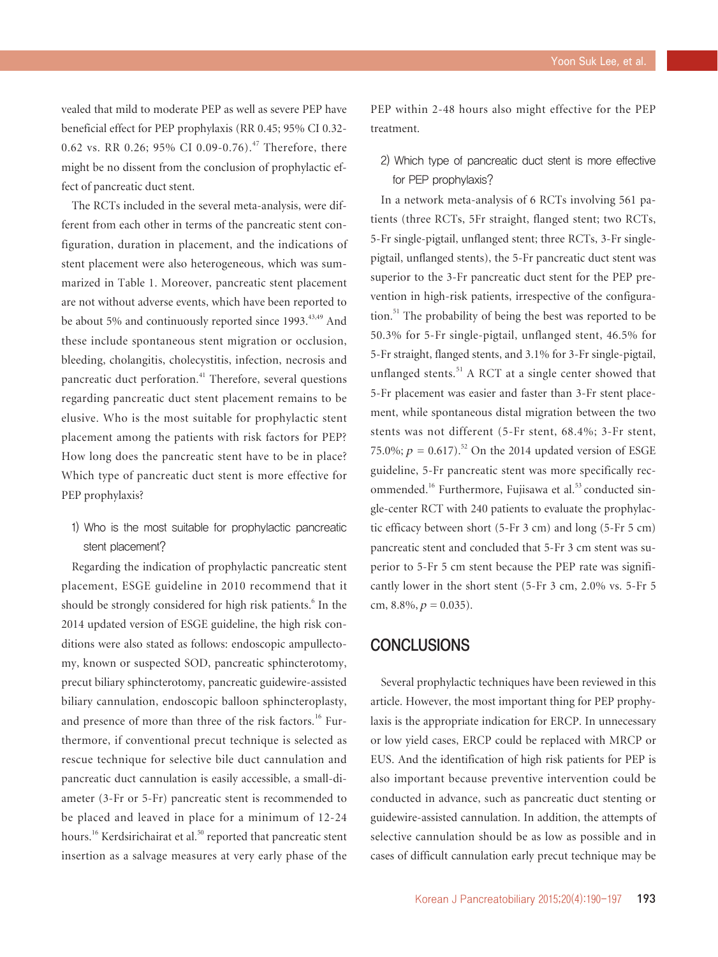vealed that mild to moderate PEP as well as severe PEP have beneficial effect for PEP prophylaxis (RR 0.45; 95% CI 0.32- 0.62 vs. RR 0.26; 95% CI 0.09-0.76).<sup>47</sup> Therefore, there might be no dissent from the conclusion of prophylactic effect of pancreatic duct stent.

The RCTs included in the several meta-analysis, were different from each other in terms of the pancreatic stent configuration, duration in placement, and the indications of stent placement were also heterogeneous, which was summarized in Table 1. Moreover, pancreatic stent placement are not without adverse events, which have been reported to be about 5% and continuously reported since 1993.<sup>43,49</sup> And these include spontaneous stent migration or occlusion, bleeding, cholangitis, cholecystitis, infection, necrosis and pancreatic duct perforation.41 Therefore, several questions regarding pancreatic duct stent placement remains to be elusive. Who is the most suitable for prophylactic stent placement among the patients with risk factors for PEP? How long does the pancreatic stent have to be in place? Which type of pancreatic duct stent is more effective for PEP prophylaxis?

1) Who is the most suitable for prophylactic pancreatic stent placement?

Regarding the indication of prophylactic pancreatic stent placement, ESGE guideline in 2010 recommend that it should be strongly considered for high risk patients.<sup>6</sup> In the 2014 updated version of ESGE guideline, the high risk conditions were also stated as follows: endoscopic ampullectomy, known or suspected SOD, pancreatic sphincterotomy, precut biliary sphincterotomy, pancreatic guidewire-assisted biliary cannulation, endoscopic balloon sphincteroplasty, and presence of more than three of the risk factors.<sup>16</sup> Furthermore, if conventional precut technique is selected as rescue technique for selective bile duct cannulation and pancreatic duct cannulation is easily accessible, a small-diameter (3-Fr or 5-Fr) pancreatic stent is recommended to be placed and leaved in place for a minimum of 12-24 hours.<sup>16</sup> Kerdsirichairat et al.<sup>50</sup> reported that pancreatic stent insertion as a salvage measures at very early phase of the PEP within 2-48 hours also might effective for the PEP treatment.

2) Which type of pancreatic duct stent is more effective for PEP prophylaxis?

In a network meta-analysis of 6 RCTs involving 561 patients (three RCTs, 5Fr straight, flanged stent; two RCTs, 5-Fr single-pigtail, unflanged stent; three RCTs, 3-Fr singlepigtail, unflanged stents), the 5-Fr pancreatic duct stent was superior to the 3-Fr pancreatic duct stent for the PEP prevention in high-risk patients, irrespective of the configuration.<sup>51</sup> The probability of being the best was reported to be 50.3% for 5-Fr single-pigtail, unflanged stent, 46.5% for 5-Fr straight, flanged stents, and 3.1% for 3-Fr single-pigtail, unflanged stents. $51$  A RCT at a single center showed that 5-Fr placement was easier and faster than 3-Fr stent placement, while spontaneous distal migration between the two stents was not different (5-Fr stent, 68.4%; 3-Fr stent, 75.0%;  $p = 0.617$ .<sup>52</sup> On the 2014 updated version of ESGE guideline, 5-Fr pancreatic stent was more specifically recommended.<sup>16</sup> Furthermore, Fujisawa et al.<sup>53</sup> conducted single-center RCT with 240 patients to evaluate the prophylactic efficacy between short (5-Fr 3 cm) and long (5-Fr 5 cm) pancreatic stent and concluded that 5-Fr 3 cm stent was superior to 5-Fr 5 cm stent because the PEP rate was significantly lower in the short stent (5-Fr 3 cm, 2.0% vs. 5-Fr 5 cm,  $8.8\%, p = 0.035$ ).

#### **CONCLUSIONS**

Several prophylactic techniques have been reviewed in this article. However, the most important thing for PEP prophylaxis is the appropriate indication for ERCP. In unnecessary or low yield cases, ERCP could be replaced with MRCP or EUS. And the identification of high risk patients for PEP is also important because preventive intervention could be conducted in advance, such as pancreatic duct stenting or guidewire-assisted cannulation. In addition, the attempts of selective cannulation should be as low as possible and in cases of difficult cannulation early precut technique may be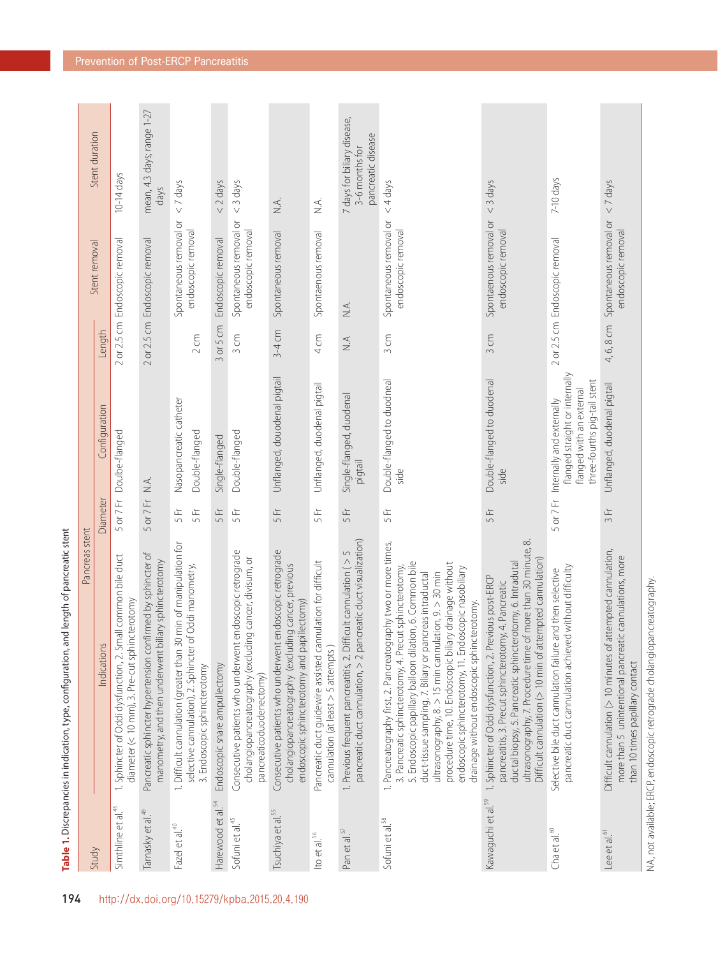|                                | Pancreas stent                                                                                                                                                                                                                                                                                                                                                                                                                                                                     |              |                                                                                                                         |                                  |                                              |                                                                     |
|--------------------------------|------------------------------------------------------------------------------------------------------------------------------------------------------------------------------------------------------------------------------------------------------------------------------------------------------------------------------------------------------------------------------------------------------------------------------------------------------------------------------------|--------------|-------------------------------------------------------------------------------------------------------------------------|----------------------------------|----------------------------------------------|---------------------------------------------------------------------|
| Study                          | Indications                                                                                                                                                                                                                                                                                                                                                                                                                                                                        | Diameter     | Configuration                                                                                                           | Length                           | Stent removal                                | Stent duration                                                      |
| Simthline et al. <sup>43</sup> | 1. Sphincter of Oddi dysfunction, 2. Small common bile duct<br>diameter (< 10 mm), 3. Pre-cut sphincterotomy                                                                                                                                                                                                                                                                                                                                                                       | 5 or 7 Fr    | Doulbe-flanged                                                                                                          |                                  | 2 or 2.5 cm Endoscopic removal               | 10-14 days                                                          |
| Tamasky et al. <sup>49</sup>   | Pancreatic sphincter hypertension confirmed by sphincter of<br>manometry, and then underwent biliary sphincterotomy                                                                                                                                                                                                                                                                                                                                                                | 5 or 7 Fr    | $\leq$                                                                                                                  |                                  | 2 or 2.5 cm Endoscopic removal               | mean, 4.3 days; range 1-27<br>days                                  |
| Fazel et al. <sup>40</sup>     | 1. Difficult cannulation (greater than 30 min of manipulation for<br>selective cannulation), 2. Sphincter of Oddi manometry,<br>3. Endoscopic sphincterotomy                                                                                                                                                                                                                                                                                                                       | 5 Fr<br>5 Fr | Nasopancreatic catheter<br>Double-flanged                                                                               | 2 cm                             | Spontaneous removal or<br>endoscopic removal | $<$ 7 days                                                          |
| Harewood et al. <sup>54</sup>  | Endoscopic snare ampullectomy                                                                                                                                                                                                                                                                                                                                                                                                                                                      | 5 Fr         | Single-flanged                                                                                                          | or 5 cm<br>$\infty$              | Endoscopic removal                           | $<$ 2 days                                                          |
| Sofuni et al. <sup>45</sup>    | endoscopic retrograde<br>cholangiopancreatography (excluding cancer, divisum, or<br>Consecutive patients who underwent<br>pancreaticoduodenectomy)                                                                                                                                                                                                                                                                                                                                 | 5 Fr         | Double-flanged                                                                                                          | 3cm                              | Spontaneous removal or<br>endoscopic removal | $<$ 3 days                                                          |
| Tsuchiya et al. <sup>55</sup>  | endoscopic retrograde<br>cholangiopancreatography (excluding cancer, previous<br>endoscopic sphincterotomy and papillectomy)<br>Consecutive patients who underwent                                                                                                                                                                                                                                                                                                                 | 5 Fr         | Unflanged, douodenal pigtail                                                                                            | $3-4$ cm                         | Spontaneous removal                          | $\leq$                                                              |
| Ito et al. <sup>56</sup>       | Pancreatic duct quidewire assisted cannulation for difficult<br>cannulation (at least > 5 attempts)                                                                                                                                                                                                                                                                                                                                                                                | 5 Fr         | Unflanged, duodenal pigtail                                                                                             | 4cm                              | Spontaenous removal                          | ΧÁ.                                                                 |
| Pan et al. <sup>57</sup>       | pancreatic duct cannulation, > 2 pancreatic duct visualization)<br>ficult cannulation ( $>$ 5<br>1. Previous frequent pancreatitis, 2. Dif                                                                                                                                                                                                                                                                                                                                         | 5 Fr         | Single-flanged, duodenal<br>pigtail                                                                                     | $\stackrel{\triangleleft}{\geq}$ | X.A.                                         | 7 days for biliary disease,<br>pancreatic disease<br>3-6 months for |
| Sofuni et al. <sup>58</sup>    | 1. Pancreatography first, 2. Pancreatography two or more times,<br>5. Endoscopic papillary balloon dilation, 6. Common bile<br>procedure time, 10. Endoscopic biliary drainage without<br>3. Pancreatic sphincterotomy, 4. Precut sphincterotomy,<br>endoscopic sphincterotomy, 11. Endoscopic nasobiliary<br>ultrasonography, $8. > 15$ min cannulation, $9. > 30$ min<br>duct-tissue sampling, 7. Biliary or pancreas intraductal<br>drainage without endoscopic sphincterotomy. | 5 Fr         | Double-flanged to duodneal<br>side                                                                                      | 3 cm                             | Spontaneous removal or<br>endoscopic removal | $<$ 4 days                                                          |
| Kawaguchi et al. <sup>59</sup> | $\infty$<br>ultrasonography, 7. Procedure time of more than 30 minute,<br>Difficult cannulation (> 10 min of attempted cannulation)<br>ductal biopsy, 5. Pancreatic sphincterotomy, 6. Intradutal<br>1. Sphincter of Oddi dysfunction, 2. Previous post-ERCP<br>pancreatitis, 3. Precut sphincterotomy, 4. Pancreatic                                                                                                                                                              | 5 Fr         | Double-flanged to duodenal<br>side                                                                                      | 3 cm                             | Spontaenous removal or<br>endoscopic removal | $<$ 3 days                                                          |
| Cha et al. $\frac{\infty}{2}$  | pancreatic duct cannulation achieved without difficulty<br>and then selective<br>Selective bile duct cannulation failure                                                                                                                                                                                                                                                                                                                                                           | 5 or 7 Fr    | flanged straight or internally<br>three-fourths pig-tail stent<br>flanged with an external<br>Internally and externally |                                  | 2 or 2.5 cm Endoscopic removal               | 7-10 days                                                           |
| Lee et al. <sup>61</sup>       | Difficult cannulation ( $>$ 10 minutes of attempted cannulation,<br>more than 5 unintentional pancreatic cannulations, more<br>than 10 times papillary contact                                                                                                                                                                                                                                                                                                                     | 3 Fr         | Unflanged, duodenal pigtail                                                                                             | 4, 6, 8 cm                       | Spontaneous removal or<br>endoscopic removal | $<$ 7 days                                                          |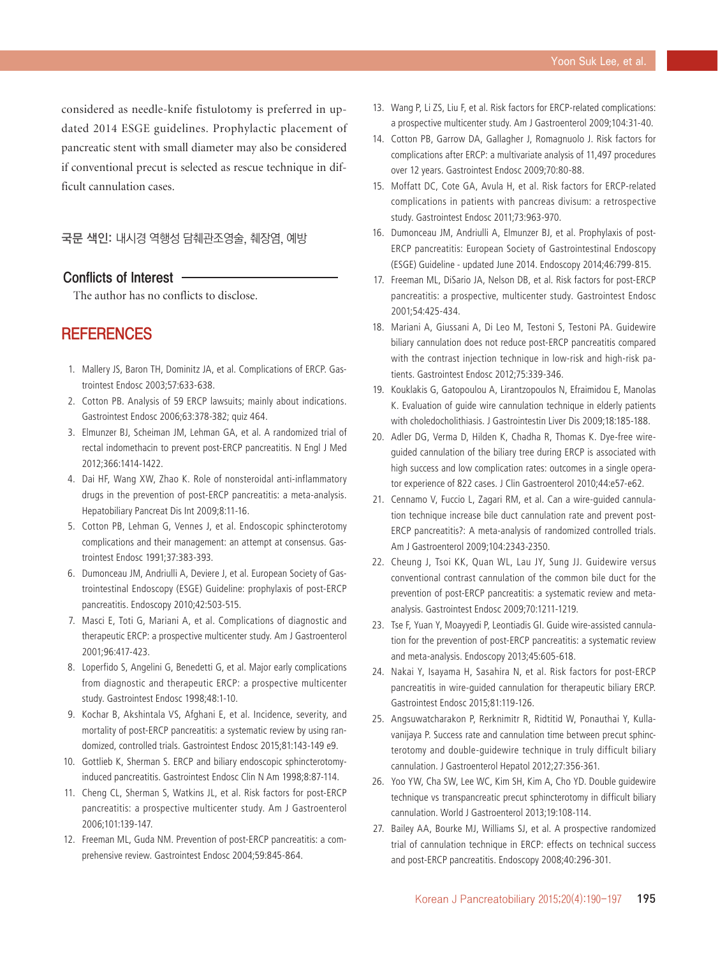considered as needle-knife fistulotomy is preferred in updated 2014 ESGE guidelines. Prophylactic placement of pancreatic stent with small diameter may also be considered if conventional precut is selected as rescue technique in difficult cannulation cases.

국문 색인: 내시경 역행성 담췌관조영술, 췌장염, 예방

#### Conflicts of Interest

The author has no conflicts to disclose.

## **REFERENCES**

- 1. Mallery JS, Baron TH, Dominitz JA, et al. Complications of ERCP. Gastrointest Endosc 2003;57:633-638.
- 2. Cotton PB. Analysis of 59 ERCP lawsuits; mainly about indications. Gastrointest Endosc 2006;63:378-382; quiz 464.
- 3. Elmunzer BJ, Scheiman JM, Lehman GA, et al. A randomized trial of rectal indomethacin to prevent post-ERCP pancreatitis. N Engl J Med 2012;366:1414-1422.
- 4. Dai HF, Wang XW, Zhao K. Role of nonsteroidal anti-inflammatory drugs in the prevention of post-ERCP pancreatitis: a meta-analysis. Hepatobiliary Pancreat Dis Int 2009;8:11-16.
- 5. Cotton PB, Lehman G, Vennes J, et al. Endoscopic sphincterotomy complications and their management: an attempt at consensus. Gastrointest Endosc 1991;37:383-393.
- 6. Dumonceau JM, Andriulli A, Deviere J, et al. European Society of Gastrointestinal Endoscopy (ESGE) Guideline: prophylaxis of post-ERCP pancreatitis. Endoscopy 2010;42:503-515.
- 7. Masci E, Toti G, Mariani A, et al. Complications of diagnostic and therapeutic ERCP: a prospective multicenter study. Am J Gastroenterol 2001;96:417-423.
- 8. Loperfido S, Angelini G, Benedetti G, et al. Major early complications from diagnostic and therapeutic ERCP: a prospective multicenter study. Gastrointest Endosc 1998;48:1-10.
- 9. Kochar B, Akshintala VS, Afghani E, et al. Incidence, severity, and mortality of post-ERCP pancreatitis: a systematic review by using randomized, controlled trials. Gastrointest Endosc 2015;81:143-149 e9.
- 10. Gottlieb K, Sherman S. ERCP and biliary endoscopic sphincterotomyinduced pancreatitis. Gastrointest Endosc Clin N Am 1998;8:87-114.
- 11. Cheng CL, Sherman S, Watkins JL, et al. Risk factors for post-ERCP pancreatitis: a prospective multicenter study. Am J Gastroenterol 2006;101:139-147.
- 12. Freeman ML, Guda NM. Prevention of post-ERCP pancreatitis: a comprehensive review. Gastrointest Endosc 2004;59:845-864.
- 13. Wang P, Li ZS, Liu F, et al. Risk factors for ERCP-related complications: a prospective multicenter study. Am J Gastroenterol 2009;104:31-40.
- 14. Cotton PB, Garrow DA, Gallagher J, Romagnuolo J. Risk factors for complications after ERCP: a multivariate analysis of 11,497 procedures over 12 years. Gastrointest Endosc 2009;70:80-88.
- 15. Moffatt DC, Cote GA, Avula H, et al. Risk factors for ERCP-related complications in patients with pancreas divisum: a retrospective study. Gastrointest Endosc 2011;73:963-970.
- 16. Dumonceau JM, Andriulli A, Elmunzer BJ, et al. Prophylaxis of post-ERCP pancreatitis: European Society of Gastrointestinal Endoscopy (ESGE) Guideline - updated June 2014. Endoscopy 2014;46:799-815.
- 17. Freeman ML, DiSario JA, Nelson DB, et al. Risk factors for post-ERCP pancreatitis: a prospective, multicenter study. Gastrointest Endosc 2001;54:425-434.
- 18. Mariani A, Giussani A, Di Leo M, Testoni S, Testoni PA. Guidewire biliary cannulation does not reduce post-ERCP pancreatitis compared with the contrast injection technique in low-risk and high-risk patients. Gastrointest Endosc 2012;75:339-346.
- 19. Kouklakis G, Gatopoulou A, Lirantzopoulos N, Efraimidou E, Manolas K. Evaluation of guide wire cannulation technique in elderly patients with choledocholithiasis. J Gastrointestin Liver Dis 2009;18:185-188.
- 20. Adler DG, Verma D, Hilden K, Chadha R, Thomas K. Dye-free wireguided cannulation of the biliary tree during ERCP is associated with high success and low complication rates: outcomes in a single operator experience of 822 cases. J Clin Gastroenterol 2010;44:e57-e62.
- 21. Cennamo V, Fuccio L, Zagari RM, et al. Can a wire-guided cannulation technique increase bile duct cannulation rate and prevent post-ERCP pancreatitis?: A meta-analysis of randomized controlled trials. Am J Gastroenterol 2009;104:2343-2350.
- 22. Cheung J, Tsoi KK, Quan WL, Lau JY, Sung JJ. Guidewire versus conventional contrast cannulation of the common bile duct for the prevention of post-ERCP pancreatitis: a systematic review and metaanalysis. Gastrointest Endosc 2009;70:1211-1219.
- 23. Tse F, Yuan Y, Moayyedi P, Leontiadis GI. Guide wire-assisted cannulation for the prevention of post-ERCP pancreatitis: a systematic review and meta-analysis. Endoscopy 2013;45:605-618.
- 24. Nakai Y, Isayama H, Sasahira N, et al. Risk factors for post-ERCP pancreatitis in wire-guided cannulation for therapeutic biliary ERCP. Gastrointest Endosc 2015;81:119-126.
- 25. Angsuwatcharakon P, Rerknimitr R, Ridtitid W, Ponauthai Y, Kullavanijaya P. Success rate and cannulation time between precut sphincterotomy and double-guidewire technique in truly difficult biliary cannulation. J Gastroenterol Hepatol 2012;27:356-361.
- 26. Yoo YW, Cha SW, Lee WC, Kim SH, Kim A, Cho YD. Double guidewire technique vs transpancreatic precut sphincterotomy in difficult biliary cannulation. World J Gastroenterol 2013;19:108-114.
- 27. Bailey AA, Bourke MJ, Williams SJ, et al. A prospective randomized trial of cannulation technique in ERCP: effects on technical success and post-ERCP pancreatitis. Endoscopy 2008;40:296-301.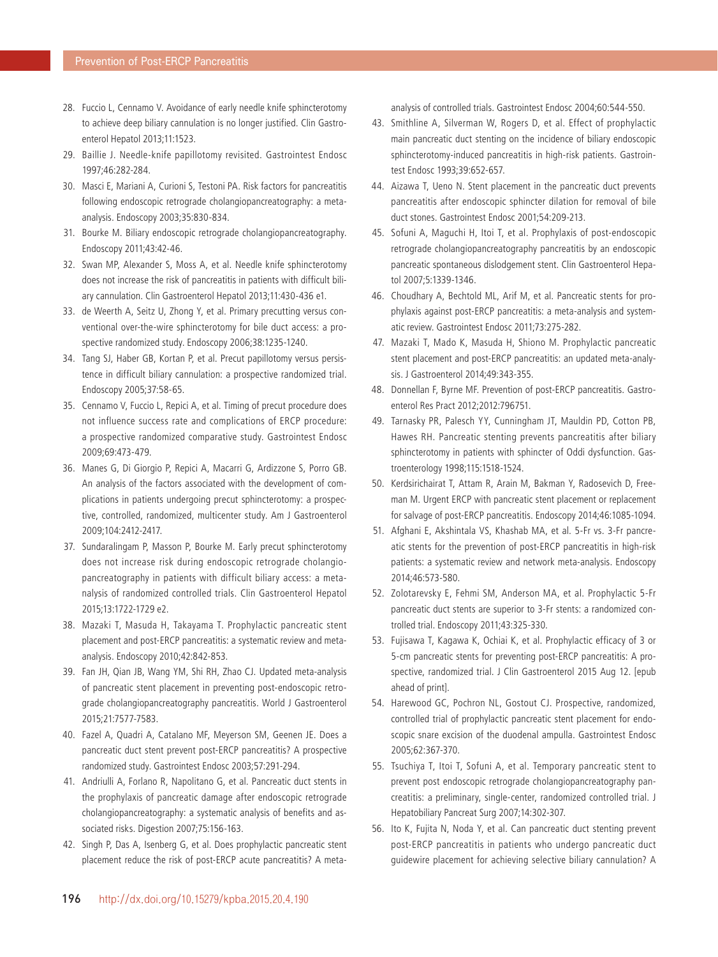- 28. Fuccio L, Cennamo V. Avoidance of early needle knife sphincterotomy to achieve deep biliary cannulation is no longer justified. Clin Gastroenterol Hepatol 2013;11:1523.
- 29. Baillie J. Needle-knife papillotomy revisited. Gastrointest Endosc 1997;46:282-284.
- 30. Masci E, Mariani A, Curioni S, Testoni PA. Risk factors for pancreatitis following endoscopic retrograde cholangiopancreatography: a metaanalysis. Endoscopy 2003;35:830-834.
- 31. Bourke M. Biliary endoscopic retrograde cholangiopancreatography. Endoscopy 2011;43:42-46.
- 32. Swan MP, Alexander S, Moss A, et al. Needle knife sphincterotomy does not increase the risk of pancreatitis in patients with difficult biliary cannulation. Clin Gastroenterol Hepatol 2013;11:430-436 e1.
- 33. de Weerth A, Seitz U, Zhong Y, et al. Primary precutting versus conventional over-the-wire sphincterotomy for bile duct access: a prospective randomized study. Endoscopy 2006;38:1235-1240.
- 34. Tang SJ, Haber GB, Kortan P, et al. Precut papillotomy versus persistence in difficult biliary cannulation: a prospective randomized trial. Endoscopy 2005;37:58-65.
- 35. Cennamo V, Fuccio L, Repici A, et al. Timing of precut procedure does not influence success rate and complications of ERCP procedure: a prospective randomized comparative study. Gastrointest Endosc 2009;69:473-479.
- 36. Manes G, Di Giorgio P, Repici A, Macarri G, Ardizzone S, Porro GB. An analysis of the factors associated with the development of complications in patients undergoing precut sphincterotomy: a prospective, controlled, randomized, multicenter study. Am J Gastroenterol 2009;104:2412-2417.
- 37. Sundaralingam P, Masson P, Bourke M. Early precut sphincterotomy does not increase risk during endoscopic retrograde cholangiopancreatography in patients with difficult biliary access: a metanalysis of randomized controlled trials. Clin Gastroenterol Hepatol 2015;13:1722-1729 e2.
- 38. Mazaki T, Masuda H, Takayama T. Prophylactic pancreatic stent placement and post-ERCP pancreatitis: a systematic review and metaanalysis. Endoscopy 2010;42:842-853.
- 39. Fan JH, Qian JB, Wang YM, Shi RH, Zhao CJ. Updated meta-analysis of pancreatic stent placement in preventing post-endoscopic retrograde cholangiopancreatography pancreatitis. World J Gastroenterol 2015;21:7577-7583.
- 40. Fazel A, Quadri A, Catalano MF, Meyerson SM, Geenen JE. Does a pancreatic duct stent prevent post-ERCP pancreatitis? A prospective randomized study. Gastrointest Endosc 2003;57:291-294.
- 41. Andriulli A, Forlano R, Napolitano G, et al. Pancreatic duct stents in the prophylaxis of pancreatic damage after endoscopic retrograde cholangiopancreatography: a systematic analysis of benefits and associated risks. Digestion 2007;75:156-163.
- 42. Singh P, Das A, Isenberg G, et al. Does prophylactic pancreatic stent placement reduce the risk of post-ERCP acute pancreatitis? A meta-

analysis of controlled trials. Gastrointest Endosc 2004;60:544-550.

- 43. Smithline A, Silverman W, Rogers D, et al. Effect of prophylactic main pancreatic duct stenting on the incidence of biliary endoscopic sphincterotomy-induced pancreatitis in high-risk patients. Gastrointest Endosc 1993;39:652-657.
- 44. Aizawa T, Ueno N. Stent placement in the pancreatic duct prevents pancreatitis after endoscopic sphincter dilation for removal of bile duct stones. Gastrointest Endosc 2001;54:209-213.
- 45. Sofuni A, Maguchi H, Itoi T, et al. Prophylaxis of post-endoscopic retrograde cholangiopancreatography pancreatitis by an endoscopic pancreatic spontaneous dislodgement stent. Clin Gastroenterol Hepatol 2007;5:1339-1346.
- 46. Choudhary A, Bechtold ML, Arif M, et al. Pancreatic stents for prophylaxis against post-ERCP pancreatitis: a meta-analysis and systematic review. Gastrointest Endosc 2011;73:275-282.
- 47. Mazaki T, Mado K, Masuda H, Shiono M. Prophylactic pancreatic stent placement and post-ERCP pancreatitis: an updated meta-analysis. J Gastroenterol 2014;49:343-355.
- 48. Donnellan F, Byrne MF. Prevention of post-ERCP pancreatitis. Gastroenterol Res Pract 2012;2012:796751.
- 49. Tarnasky PR, Palesch YY, Cunningham JT, Mauldin PD, Cotton PB, Hawes RH. Pancreatic stenting prevents pancreatitis after biliary sphincterotomy in patients with sphincter of Oddi dysfunction. Gastroenterology 1998;115:1518-1524.
- 50. Kerdsirichairat T, Attam R, Arain M, Bakman Y, Radosevich D, Freeman M. Urgent ERCP with pancreatic stent placement or replacement for salvage of post-ERCP pancreatitis. Endoscopy 2014;46:1085-1094.
- 51. Afghani E, Akshintala VS, Khashab MA, et al. 5-Fr vs. 3-Fr pancreatic stents for the prevention of post-ERCP pancreatitis in high-risk patients: a systematic review and network meta-analysis. Endoscopy 2014;46:573-580.
- 52. Zolotarevsky E, Fehmi SM, Anderson MA, et al. Prophylactic 5-Fr pancreatic duct stents are superior to 3-Fr stents: a randomized controlled trial. Endoscopy 2011;43:325-330.
- 53. Fujisawa T, Kagawa K, Ochiai K, et al. Prophylactic efficacy of 3 or 5-cm pancreatic stents for preventing post-ERCP pancreatitis: A prospective, randomized trial. J Clin Gastroenterol 2015 Aug 12. [epub ahead of print].
- 54. Harewood GC, Pochron NL, Gostout CJ. Prospective, randomized, controlled trial of prophylactic pancreatic stent placement for endoscopic snare excision of the duodenal ampulla. Gastrointest Endosc 2005;62:367-370.
- 55. Tsuchiya T, Itoi T, Sofuni A, et al. Temporary pancreatic stent to prevent post endoscopic retrograde cholangiopancreatography pancreatitis: a preliminary, single-center, randomized controlled trial. J Hepatobiliary Pancreat Surg 2007;14:302-307.
- 56. Ito K, Fujita N, Noda Y, et al. Can pancreatic duct stenting prevent post-ERCP pancreatitis in patients who undergo pancreatic duct guidewire placement for achieving selective biliary cannulation? A